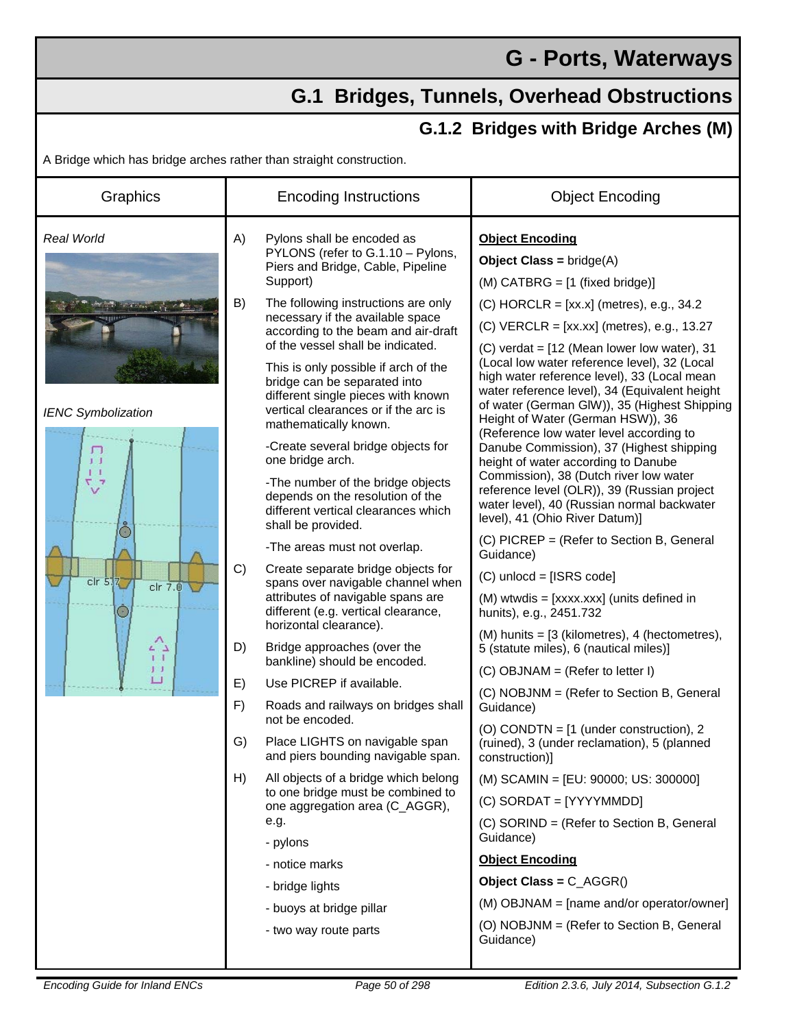## **G - Ports, Waterways**

## **G.1 Bridges, Tunnels, Overhead Obstructions**

## **G.1.2 Bridges with Bridge Arches (M)**

A Bridge which has bridge arches rather than straight construction.

| Graphics                                                                                                                                             | <b>Encoding Instructions</b>                                                                                                                                                                                                                                                                                                                                                                                                                                                                                                                                                                                                                                                                                                                                                                                                                                                                                                                                                                                                                                                                                                                   | <b>Object Encoding</b>                                                                                                                                                                                                                                                                                                                                                                                                                                                                                                                                                                                                                                                                                                                                                                                                                                                                                                                                                                                                                                                                                                                                                                                                                                                            |
|------------------------------------------------------------------------------------------------------------------------------------------------------|------------------------------------------------------------------------------------------------------------------------------------------------------------------------------------------------------------------------------------------------------------------------------------------------------------------------------------------------------------------------------------------------------------------------------------------------------------------------------------------------------------------------------------------------------------------------------------------------------------------------------------------------------------------------------------------------------------------------------------------------------------------------------------------------------------------------------------------------------------------------------------------------------------------------------------------------------------------------------------------------------------------------------------------------------------------------------------------------------------------------------------------------|-----------------------------------------------------------------------------------------------------------------------------------------------------------------------------------------------------------------------------------------------------------------------------------------------------------------------------------------------------------------------------------------------------------------------------------------------------------------------------------------------------------------------------------------------------------------------------------------------------------------------------------------------------------------------------------------------------------------------------------------------------------------------------------------------------------------------------------------------------------------------------------------------------------------------------------------------------------------------------------------------------------------------------------------------------------------------------------------------------------------------------------------------------------------------------------------------------------------------------------------------------------------------------------|
| <b>Real World</b><br><b>IENC Symbolization</b><br>л<br>$1-1$<br>$^7\!\mathsf{v}^7$<br>chr <sub>5,7</sub><br>$clr$ $7.0$<br>د^ء<br>$1 - 1$<br>丁丁<br>ப | A)<br>Pylons shall be encoded as<br>PYLONS (refer to G.1.10 - Pylons,<br>Piers and Bridge, Cable, Pipeline<br>Support)<br>B)<br>The following instructions are only<br>necessary if the available space<br>according to the beam and air-draft<br>of the vessel shall be indicated.<br>This is only possible if arch of the<br>bridge can be separated into<br>different single pieces with known<br>vertical clearances or if the arc is<br>mathematically known.<br>-Create several bridge objects for<br>one bridge arch.<br>-The number of the bridge objects<br>depends on the resolution of the<br>different vertical clearances which<br>shall be provided.<br>-The areas must not overlap.<br>C)<br>Create separate bridge objects for<br>spans over navigable channel when<br>attributes of navigable spans are<br>different (e.g. vertical clearance,<br>horizontal clearance).<br>D)<br>Bridge approaches (over the<br>bankline) should be encoded.<br>E)<br>Use PICREP if available.<br>F)<br>Roads and railways on bridges shall<br>not be encoded.<br>G)<br>Place LIGHTS on navigable span<br>and piers bounding navigable span. | <b>Object Encoding</b><br><b>Object Class = bridge(A)</b><br>$(M)$ CATBRG = $[1 \text{ (fixed bridge)}]$<br>$(C)$ HORCLR = [xx.x] (metres), e.g., 34.2<br>$(C)$ VERCLR = [xx.xx] (metres), e.g., 13.27<br>$(C)$ verdat = $[12$ (Mean lower low water), 31<br>(Local low water reference level), 32 (Local<br>high water reference level), 33 (Local mean<br>water reference level), 34 (Equivalent height<br>of water (German GIW)), 35 (Highest Shipping<br>Height of Water (German HSW)), 36<br>(Reference low water level according to<br>Danube Commission), 37 (Highest shipping<br>height of water according to Danube<br>Commission), 38 (Dutch river low water<br>reference level (OLR)), 39 (Russian project<br>water level), 40 (Russian normal backwater<br>level), 41 (Ohio River Datum)]<br>(C) PICREP = (Refer to Section B, General<br>Guidance)<br>$(C)$ unlocd = [ISRS code]<br>(M) wtwdis = [xxxx.xxx] (units defined in<br>hunits), e.g., 2451.732<br>$(M)$ hunits = $[3$ (kilometres), 4 (hectometres),<br>5 (statute miles), 6 (nautical miles)]<br>$(C)$ OBJNAM = (Refer to letter I)<br>(C) NOBJNM = (Refer to Section B, General<br>Guidance)<br>(O) CONDTN = [1 (under construction), 2<br>(ruined), 3 (under reclamation), 5 (planned<br>construction)] |
|                                                                                                                                                      | H)<br>All objects of a bridge which belong<br>to one bridge must be combined to<br>one aggregation area (C_AGGR),<br>e.g.<br>- pylons<br>- notice marks<br>- bridge lights<br>- buoys at bridge pillar<br>- two way route parts                                                                                                                                                                                                                                                                                                                                                                                                                                                                                                                                                                                                                                                                                                                                                                                                                                                                                                                | (M) SCAMIN = [EU: 90000; US: 300000]<br>$(C)$ SORDAT = [YYYYMMDD]<br>(C) SORIND = (Refer to Section B, General<br>Guidance)<br><b>Object Encoding</b><br>Object Class = C_AGGR()<br>(M) OBJNAM = [name and/or operator/owner]<br>(O) NOBJNM = (Refer to Section B, General<br>Guidance)                                                                                                                                                                                                                                                                                                                                                                                                                                                                                                                                                                                                                                                                                                                                                                                                                                                                                                                                                                                           |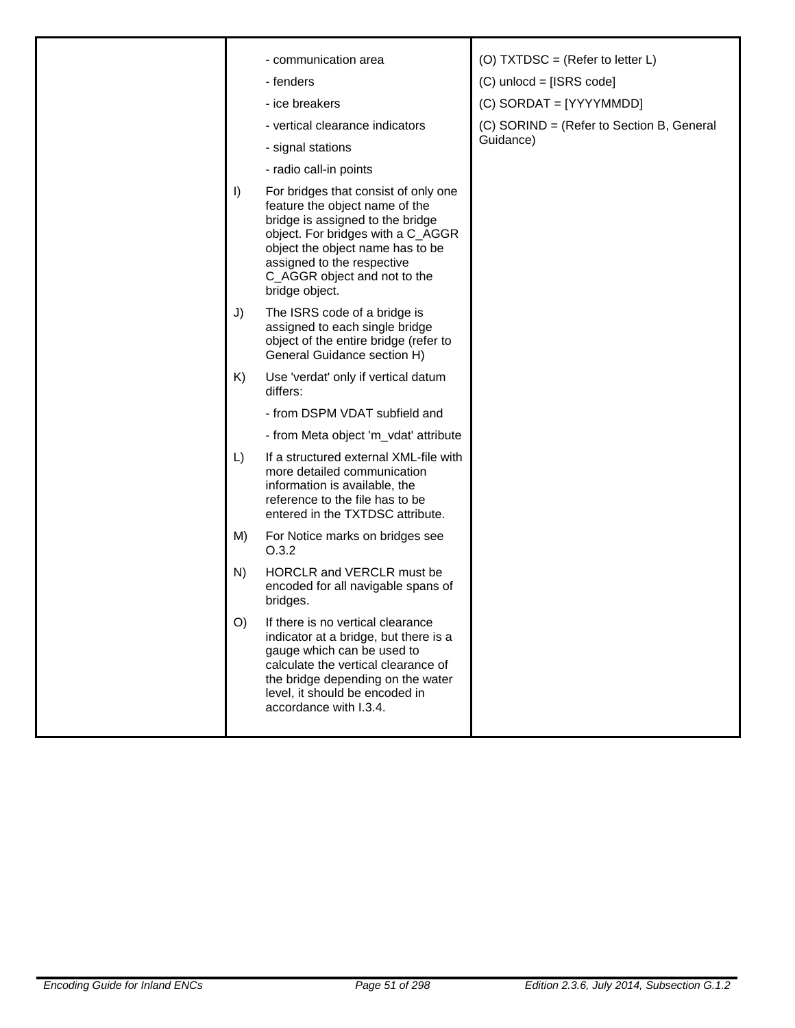|  |         | - communication area                                                                                                                                                                                                                                                | (O) TXTDSC = (Refer to letter $L$ )                    |
|--|---------|---------------------------------------------------------------------------------------------------------------------------------------------------------------------------------------------------------------------------------------------------------------------|--------------------------------------------------------|
|  |         | - fenders                                                                                                                                                                                                                                                           | $(C)$ unlocd = [ISRS code]                             |
|  |         | - ice breakers                                                                                                                                                                                                                                                      | (C) SORDAT = [YYYYMMDD]                                |
|  |         | - vertical clearance indicators                                                                                                                                                                                                                                     | (C) SORIND = (Refer to Section B, General<br>Guidance) |
|  |         | - signal stations                                                                                                                                                                                                                                                   |                                                        |
|  |         | - radio call-in points                                                                                                                                                                                                                                              |                                                        |
|  | $\vert$ | For bridges that consist of only one<br>feature the object name of the<br>bridge is assigned to the bridge<br>object. For bridges with a C_AGGR<br>object the object name has to be<br>assigned to the respective<br>C_AGGR object and not to the<br>bridge object. |                                                        |
|  | J)      | The ISRS code of a bridge is<br>assigned to each single bridge<br>object of the entire bridge (refer to<br>General Guidance section H)                                                                                                                              |                                                        |
|  | K)      | Use 'verdat' only if vertical datum<br>differs:                                                                                                                                                                                                                     |                                                        |
|  |         | - from DSPM VDAT subfield and                                                                                                                                                                                                                                       |                                                        |
|  |         | - from Meta object 'm_vdat' attribute                                                                                                                                                                                                                               |                                                        |
|  | L)      | If a structured external XML-file with<br>more detailed communication<br>information is available, the<br>reference to the file has to be<br>entered in the TXTDSC attribute.                                                                                       |                                                        |
|  | M)      | For Notice marks on bridges see<br>O.3.2                                                                                                                                                                                                                            |                                                        |
|  | N)      | HORCLR and VERCLR must be<br>encoded for all navigable spans of<br>bridges.                                                                                                                                                                                         |                                                        |
|  | O)      | If there is no vertical clearance<br>indicator at a bridge, but there is a<br>gauge which can be used to<br>calculate the vertical clearance of<br>the bridge depending on the water<br>level, it should be encoded in<br>accordance with I.3.4.                    |                                                        |